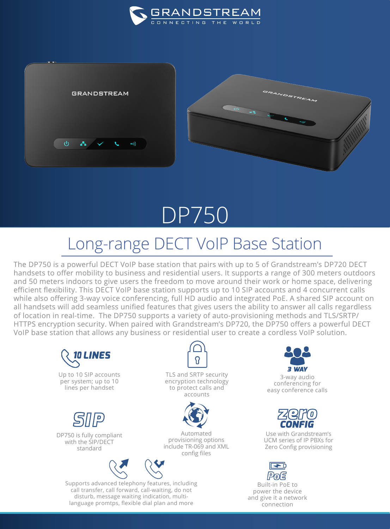



## DP750

## Long-range DECT VoIP Base Station

The DP750 is a powerful DECT VoIP base station that pairs with up to 5 of Grandstream's DP720 DECT handsets to offer mobility to business and residential users. It supports a range of 300 meters outdoors and 50 meters indoors to give users the freedom to move around their work or home space, delivering efficient flexibility. This DECT VoIP base station supports up to 10 SIP accounts and 4 concurrent calls while also offering 3-way voice conferencing, full HD audio and integrated PoE. A shared SIP account on all handsets will add seamless unified features that gives users the ability to answer all calls regardless of location in real-time. The DP750 supports a variety of auto-provisioning methods and TLS/SRTP/ HTTPS encryption security. When paired with Grandstream's DP720, the DP750 offers a powerful DECT VoIP base station that allows any business or residential user to create a cordless VoIP solution.